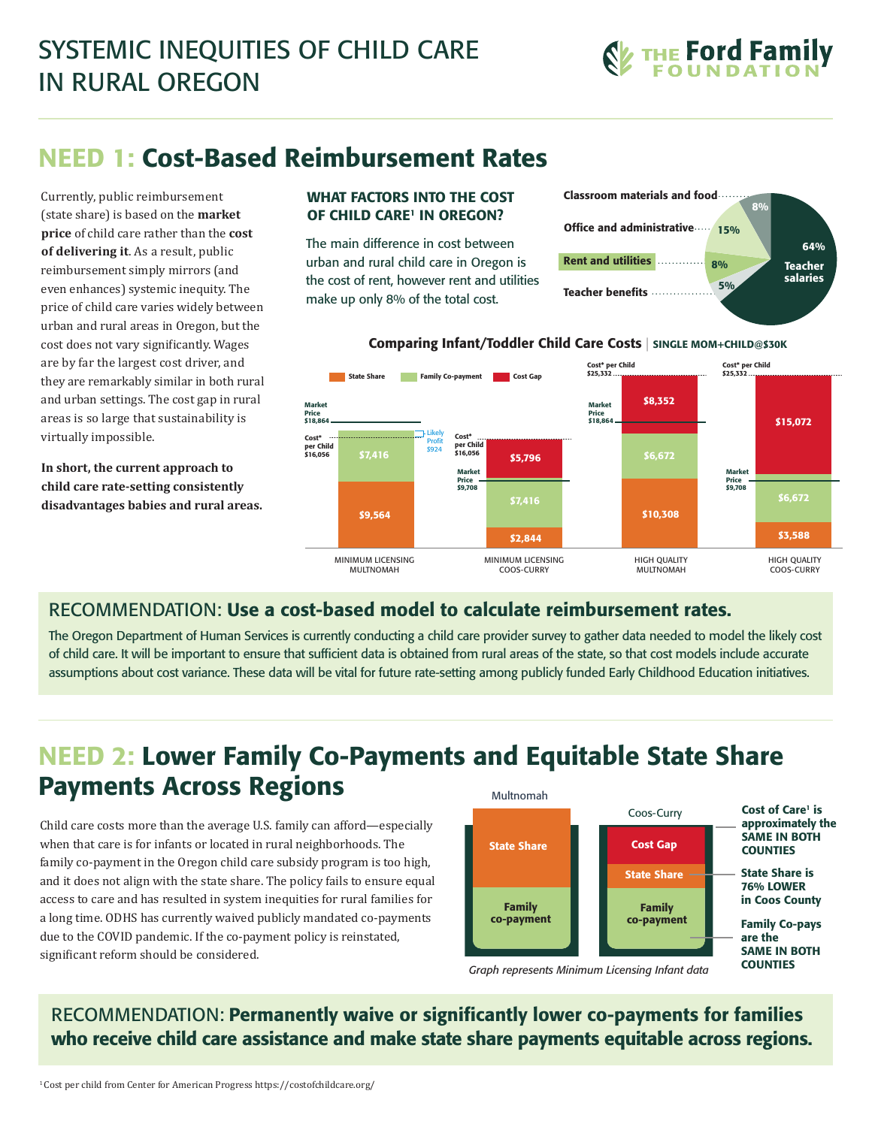

# NEED 1: Cost-Based Reimbursement Rates

Currently, public reimbursement (state share) is based on the **market price** of child care rather than the **cost of delivering it**. As a result, public reimbursement simply mirrors (and even enhances) systemic inequity. The price of child care varies widely between urban and rural areas in Oregon, but the cost does not vary significantly. Wages are by far the largest cost driver, and they are remarkably similar in both rural and urban settings. The cost gap in rural areas is so large that sustainability is virtually impossible.

**In short, the current approach to child care rate-setting consistently disadvantages babies and rural areas.**

#### WHAT FACTORS INTO THE COST OF CHILD CARE<sup>1</sup> IN OREGON?

The main difference in cost between urban and rural child care in Oregon is the cost of rent, however rent and utilities make up only 8% of the total cost.





#### Comparing Infant/Toddler Child Care Costs | SINGLE MOM+CHILD@\$30K

### RECOMMENDATION: Use a cost-based model to calculate reimbursement rates.

The Oregon Department of Human Services is currently conducting a child care provider survey to gather data needed to model the likely cost of child care. It will be important to ensure that sufficient data is obtained from rural areas of the state, so that cost models include accurate assumptions about cost variance. These data will be vital for future rate-setting among publicly funded Early Childhood Education initiatives.

#### NEED 2: Lower Family Co-Payments and Equitable State Share Payments Across Regions Multnomah

Child care costs more than the average U.S. family can afford—especially when that care is for infants or located in rural neighborhoods. The family co-payment in the Oregon child care subsidy program is too high, and it does not align with the state share. The policy fails to ensure equal access to care and has resulted in system inequities for rural families for a long time. ODHS has currently waived publicly mandated co-payments due to the COVID pandemic. If the co-payment policy is reinstated, significant reform should be considered.



*Graph represents Minimum Licensing Infant data*

RECOMMENDATION: Permanently waive or significantly lower co-payments for families who receive child care assistance and make state share payments equitable across regions.